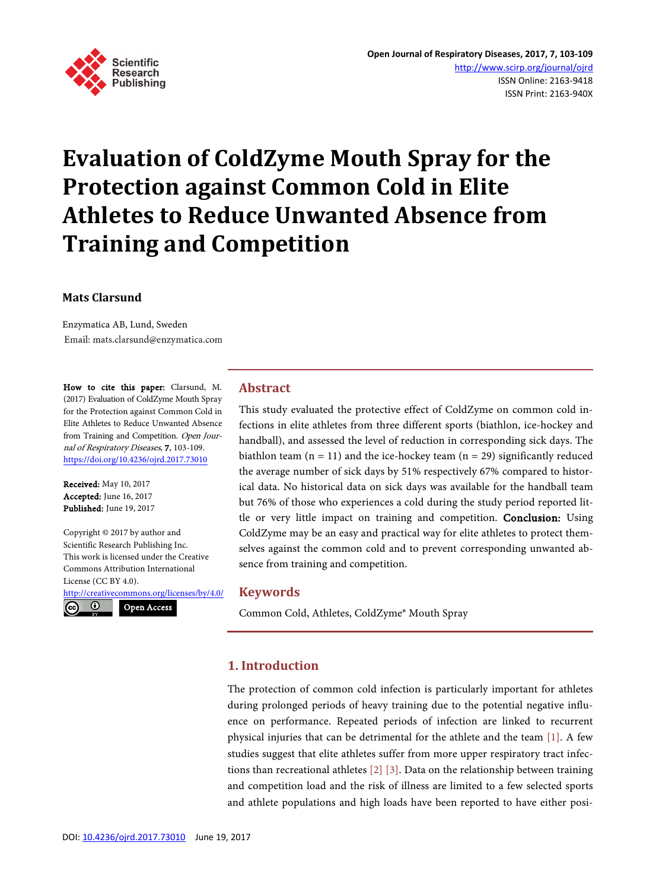

# **Evaluation of ColdZyme Mouth Spray for the Protection against Common Cold in Elite Athletes to Reduce Unwanted Absence from Training and Competition**

#### **Mats Clarsund**

Enzymatica AB, Lund, Sweden Email: mats.clarsund@enzymatica.com

How to cite this paper: Clarsund, M. (2017) Evaluation of ColdZyme Mouth Spray for the Protection against Common Cold in Elite Athletes to Reduce Unwanted Absence from Training and Competition. Open Journal of Respiratory Diseases, 7, 103-109. <https://doi.org/10.4236/ojrd.2017.73010>

Received: May 10, 2017 Accepted: June 16, 2017 Published: June 19, 2017

Copyright © 2017 by author and Scientific Research Publishing Inc. This work is licensed under the Creative Commons Attribution International License (CC BY 4.0).

<http://creativecommons.org/licenses/by/4.0/>

 $\odot$  $(cc)$ 

Open Access

# **Abstract**

This study evaluated the protective effect of ColdZyme on common cold infections in elite athletes from three different sports (biathlon, ice-hockey and handball), and assessed the level of reduction in corresponding sick days. The biathlon team  $(n = 11)$  and the ice-hockey team  $(n = 29)$  significantly reduced the average number of sick days by 51% respectively 67% compared to historical data. No historical data on sick days was available for the handball team but 76% of those who experiences a cold during the study period reported little or very little impact on training and competition. Conclusion: Using ColdZyme may be an easy and practical way for elite athletes to protect themselves against the common cold and to prevent corresponding unwanted absence from training and competition.

#### **Keywords**

Common Cold, Athletes, ColdZyme® Mouth Spray

## **1. Introduction**

The protection of common cold infection is particularly important for athletes during prolonged periods of heavy training due to the potential negative influence on performance. Repeated periods of infection are linked to recurrent physical injuries that can be detrimental for the athlete and the team [\[1\].](#page-5-0) A few studies suggest that elite athletes suffer from more upper respiratory tract infections than recreational athlete[s \[2\]](#page-5-1) [\[3\].](#page-5-2) Data on the relationship between training and competition load and the risk of illness are limited to a few selected sports and athlete populations and high loads have been reported to have either posi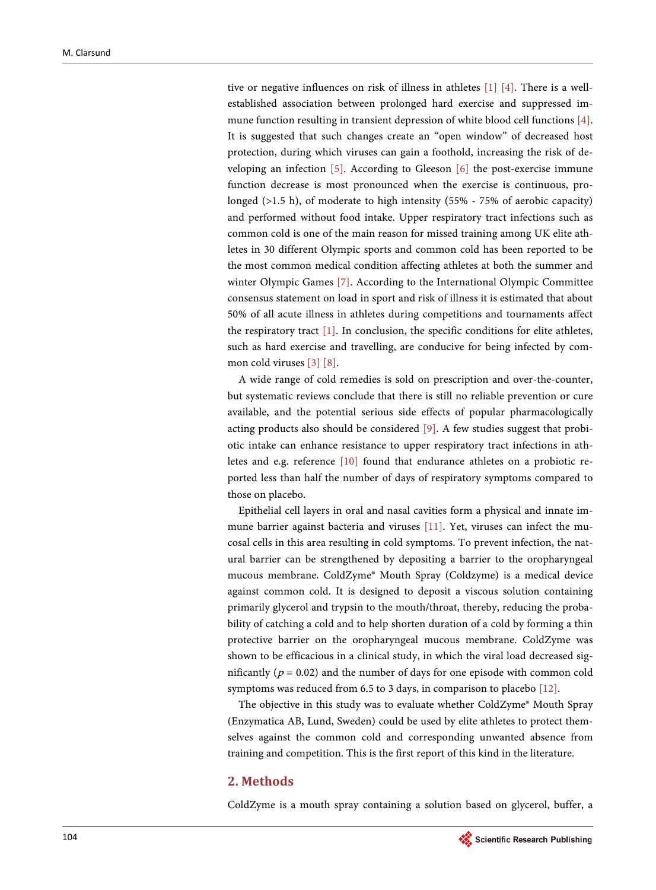tive or negative influences on risk of illness in athletes [\[1\]](#page-5-0) [\[4\].](#page-5-3) There is a wellestablished association between prolonged hard exercise and suppressed immune function resulting in transient depression of white blood cell functions [\[4\].](#page-5-3)  It is suggested that such changes create an "open window" of decreased host protection, during which viruses can gain a foothold, increasing the risk of developing an infection [\[5\].](#page-5-4) According to Gleeson [\[6\]](#page-5-5) the post-exercise immune function decrease is most pronounced when the exercise is continuous, prolonged (>1.5 h), of moderate to high intensity (55% - 75% of aerobic capacity) and performed without food intake. Upper respiratory tract infections such as common cold is one of the main reason for missed training among UK elite athletes in 30 different Olympic sports and common cold has been reported to be the most common medical condition affecting athletes at both the summer and winter Olympic Games [\[7\].](#page-6-0) According to the International Olympic Committee consensus statement on load in sport and risk of illness it is estimated that about 50% of all acute illness in athletes during competitions and tournaments affect the respiratory tract [\[1\].](#page-5-0) In conclusion, the specific conditions for elite athletes, such as hard exercise and travelling, are conducive for being infected by common cold viruses [\[3\]](#page-5-2) [\[8\].](#page-6-1)

A wide range of cold remedies is sold on prescription and over-the-counter, but systematic reviews conclude that there is still no reliable prevention or cure available, and the potential serious side effects of popular pharmacologically acting products also should be considered [\[9\].](#page-6-2) A few studies suggest that probiotic intake can enhance resistance to upper respiratory tract infections in athletes and e.g. reference [\[10\]](#page-6-3) found that endurance athletes on a probiotic reported less than half the number of days of respiratory symptoms compared to those on placebo.

Epithelial cell layers in oral and nasal cavities form a physical and innate immune barrier against bacteria and viruses [\[11\].](#page-6-4) Yet, viruses can infect the mucosal cells in this area resulting in cold symptoms. To prevent infection, the natural barrier can be strengthened by depositing a barrier to the oropharyngeal mucous membrane. ColdZyme® Mouth Spray (Coldzyme) is a medical device against common cold. It is designed to deposit a viscous solution containing primarily glycerol and trypsin to the mouth/throat, thereby, reducing the probability of catching a cold and to help shorten duration of a cold by forming a thin protective barrier on the oropharyngeal mucous membrane. ColdZyme was shown to be efficacious in a clinical study, in which the viral load decreased significantly ( $p = 0.02$ ) and the number of days for one episode with common cold symptoms was reduced from 6.5 to 3 days, in comparison to placebo [\[12\].](#page-6-5)

The objective in this study was to evaluate whether ColdZyme® Mouth Spray (Enzymatica AB, Lund, Sweden) could be used by elite athletes to protect themselves against the common cold and corresponding unwanted absence from training and competition. This is the first report of this kind in the literature.

## **2. Methods**

ColdZyme is a mouth spray containing a solution based on glycerol, buffer, a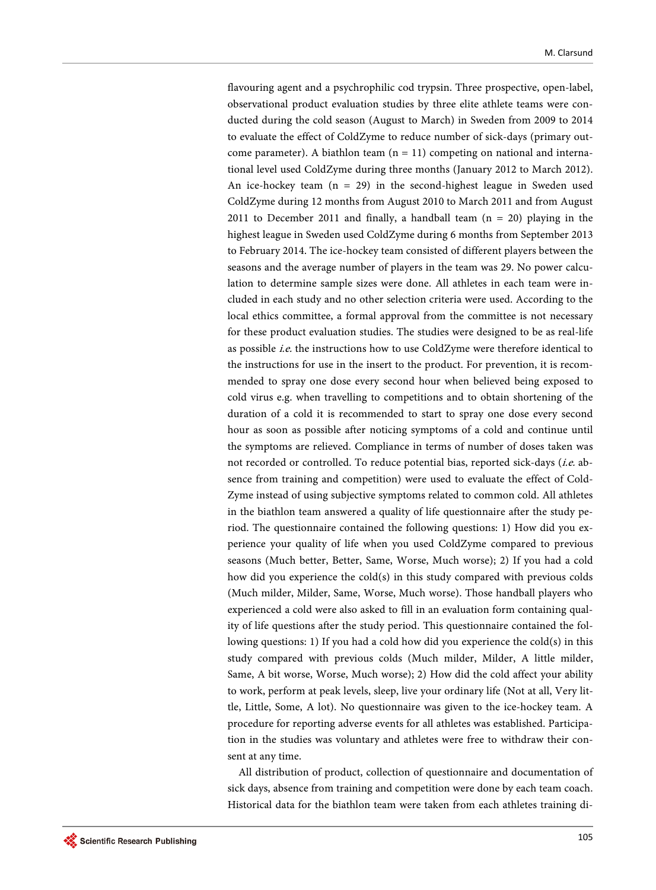flavouring agent and a psychrophilic cod trypsin. Three prospective, open-label, observational product evaluation studies by three elite athlete teams were conducted during the cold season (August to March) in Sweden from 2009 to 2014 to evaluate the effect of ColdZyme to reduce number of sick-days (primary outcome parameter). A biathlon team  $(n = 11)$  competing on national and international level used ColdZyme during three months (January 2012 to March 2012). An ice-hockey team  $(n = 29)$  in the second-highest league in Sweden used ColdZyme during 12 months from August 2010 to March 2011 and from August 2011 to December 2011 and finally, a handball team  $(n = 20)$  playing in the highest league in Sweden used ColdZyme during 6 months from September 2013 to February 2014. The ice-hockey team consisted of different players between the seasons and the average number of players in the team was 29. No power calculation to determine sample sizes were done. All athletes in each team were included in each study and no other selection criteria were used. According to the local ethics committee, a formal approval from the committee is not necessary for these product evaluation studies. The studies were designed to be as real-life as possible i.e. the instructions how to use ColdZyme were therefore identical to the instructions for use in the insert to the product. For prevention, it is recommended to spray one dose every second hour when believed being exposed to cold virus e.g. when travelling to competitions and to obtain shortening of the duration of a cold it is recommended to start to spray one dose every second hour as soon as possible after noticing symptoms of a cold and continue until the symptoms are relieved. Compliance in terms of number of doses taken was not recorded or controlled. To reduce potential bias, reported sick-days (i.e. absence from training and competition) were used to evaluate the effect of Cold-Zyme instead of using subjective symptoms related to common cold. All athletes in the biathlon team answered a quality of life questionnaire after the study period. The questionnaire contained the following questions: 1) How did you experience your quality of life when you used ColdZyme compared to previous seasons (Much better, Better, Same, Worse, Much worse); 2) If you had a cold how did you experience the cold(s) in this study compared with previous colds (Much milder, Milder, Same, Worse, Much worse). Those handball players who experienced a cold were also asked to fill in an evaluation form containing quality of life questions after the study period. This questionnaire contained the following questions: 1) If you had a cold how did you experience the cold(s) in this study compared with previous colds (Much milder, Milder, A little milder, Same, A bit worse, Worse, Much worse); 2) How did the cold affect your ability to work, perform at peak levels, sleep, live your ordinary life (Not at all, Very little, Little, Some, A lot). No questionnaire was given to the ice-hockey team. A procedure for reporting adverse events for all athletes was established. Participation in the studies was voluntary and athletes were free to withdraw their consent at any time.

All distribution of product, collection of questionnaire and documentation of sick days, absence from training and competition were done by each team coach. Historical data for the biathlon team were taken from each athletes training di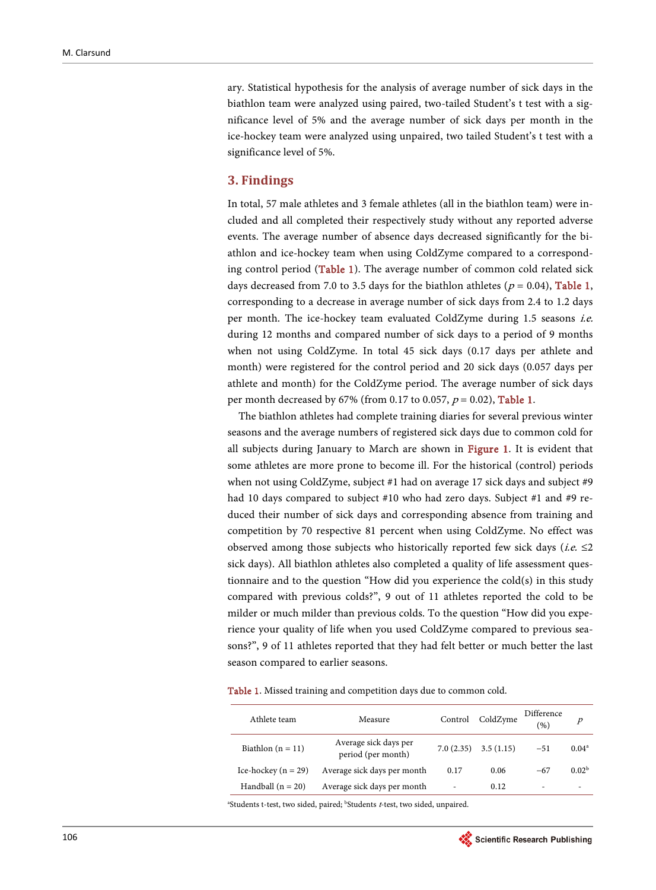ary. Statistical hypothesis for the analysis of average number of sick days in the biathlon team were analyzed using paired, two-tailed Student's t test with a significance level of 5% and the average number of sick days per month in the ice-hockey team were analyzed using unpaired, two tailed Student's t test with a significance level of 5%.

#### **3. Findings**

In total, 57 male athletes and 3 female athletes (all in the biathlon team) were included and all completed their respectively study without any reported adverse events. The average number of absence days decreased significantly for the biathlon and ice-hockey team when using ColdZyme compared to a corresponding control period [\(Table 1\)](#page-3-0). The average number of common cold related sick days decreased from 7.0 to 3.5 days for the biathlon athletes ( $p = 0.04$ ), Table 1, corresponding to a decrease in average number of sick days from 2.4 to 1.2 days per month. The ice-hockey team evaluated ColdZyme during 1.5 seasons i.e. during 12 months and compared number of sick days to a period of 9 months when not using ColdZyme. In total 45 sick days (0.17 days per athlete and month) were registered for the control period and 20 sick days (0.057 days per athlete and month) for the ColdZyme period. The average number of sick days per month decreased by 67% (from 0.17 to 0.057,  $p = 0.02$ ), [Table 1.](#page-3-0)

The biathlon athletes had complete training diaries for several previous winter seasons and the average numbers of registered sick days due to common cold for all subjects during January to March are shown in [Figure 1.](#page-4-0) It is evident that some athletes are more prone to become ill. For the historical (control) periods when not using ColdZyme, subject #1 had on average 17 sick days and subject #9 had 10 days compared to subject #10 who had zero days. Subject #1 and #9 reduced their number of sick days and corresponding absence from training and competition by 70 respective 81 percent when using ColdZyme. No effect was observed among those subjects who historically reported few sick days (*i.e.*  $\leq$ 2 sick days). All biathlon athletes also completed a quality of life assessment questionnaire and to the question "How did you experience the cold(s) in this study compared with previous colds?", 9 out of 11 athletes reported the cold to be milder or much milder than previous colds. To the question "How did you experience your quality of life when you used ColdZyme compared to previous seasons?", 9 of 11 athletes reported that they had felt better or much better the last season compared to earlier seasons.

<span id="page-3-0"></span>Table 1. Missed training and competition days due to common cold.

| Athlete team            | Measure                                     | Control   | ColdZyme  | Difference<br>(%) | $\boldsymbol{p}$  |
|-------------------------|---------------------------------------------|-----------|-----------|-------------------|-------------------|
| Biathlon $(n = 11)$     | Average sick days per<br>period (per month) | 7.0(2.35) | 3.5(1.15) | $-51$             | $0.04^a$          |
| Ice-hockey ( $n = 29$ ) | Average sick days per month                 | 0.17      | 0.06      | $-67$             | 0.02 <sup>b</sup> |
| Handball $(n = 20)$     | Average sick days per month                 | ۰         | 0.12      | ٠                 |                   |

<sup>a</sup>Students t-test, two sided, paired; <sup>b</sup>Students t-test, two sided, unpaired.

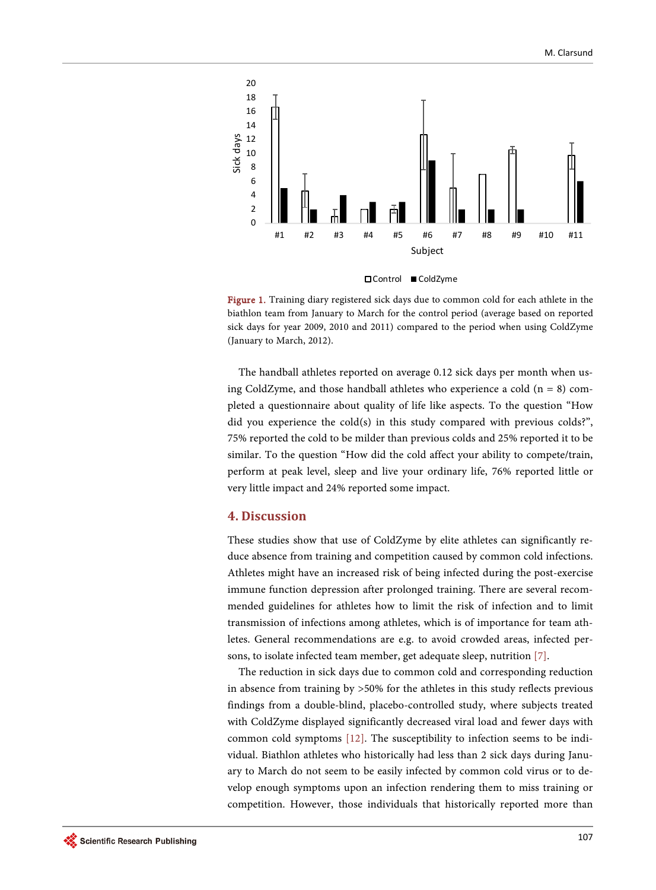<span id="page-4-0"></span>

Figure 1. Training diary registered sick days due to common cold for each athlete in the biathlon team from January to March for the control period (average based on reported sick days for year 2009, 2010 and 2011) compared to the period when using ColdZyme (January to March, 2012).

The handball athletes reported on average 0.12 sick days per month when using ColdZyme, and those handball athletes who experience a cold  $(n = 8)$  completed a questionnaire about quality of life like aspects. To the question "How did you experience the cold(s) in this study compared with previous colds?", 75% reported the cold to be milder than previous colds and 25% reported it to be similar. To the question "How did the cold affect your ability to compete/train, perform at peak level, sleep and live your ordinary life, 76% reported little or very little impact and 24% reported some impact.

## **4. Discussion**

These studies show that use of ColdZyme by elite athletes can significantly reduce absence from training and competition caused by common cold infections. Athletes might have an increased risk of being infected during the post-exercise immune function depression after prolonged training. There are several recommended guidelines for athletes how to limit the risk of infection and to limit transmission of infections among athletes, which is of importance for team athletes. General recommendations are e.g. to avoid crowded areas, infected persons, to isolate infected team member, get adequate sleep, nutrition [\[7\].](#page-6-0)

The reduction in sick days due to common cold and corresponding reduction in absence from training by >50% for the athletes in this study reflects previous findings from a double-blind, placebo-controlled study, where subjects treated with ColdZyme displayed significantly decreased viral load and fewer days with common cold symptoms [\[12\].](#page-6-5) The susceptibility to infection seems to be individual. Biathlon athletes who historically had less than 2 sick days during January to March do not seem to be easily infected by common cold virus or to develop enough symptoms upon an infection rendering them to miss training or competition. However, those individuals that historically reported more than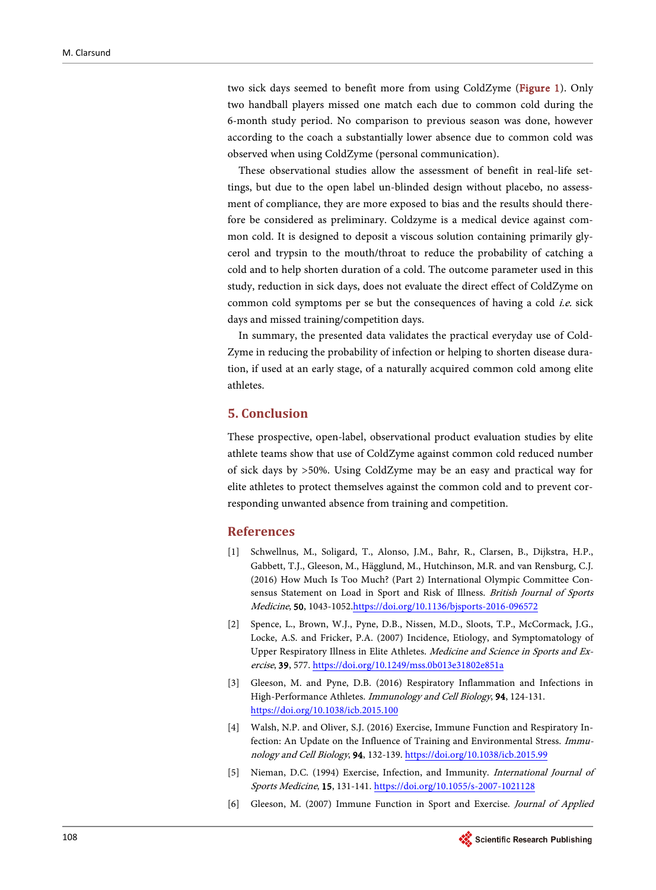two sick days seemed to benefit more from using ColdZyme [\(Figure 1\)](#page-4-0). Only two handball players missed one match each due to common cold during the 6-month study period. No comparison to previous season was done, however according to the coach a substantially lower absence due to common cold was observed when using ColdZyme (personal communication).

These observational studies allow the assessment of benefit in real-life settings, but due to the open label un-blinded design without placebo, no assessment of compliance, they are more exposed to bias and the results should therefore be considered as preliminary. Coldzyme is a medical device against common cold. It is designed to deposit a viscous solution containing primarily glycerol and trypsin to the mouth/throat to reduce the probability of catching a cold and to help shorten duration of a cold. The outcome parameter used in this study, reduction in sick days, does not evaluate the direct effect of ColdZyme on common cold symptoms per se but the consequences of having a cold *i.e.* sick days and missed training/competition days.

In summary, the presented data validates the practical everyday use of Cold-Zyme in reducing the probability of infection or helping to shorten disease duration, if used at an early stage, of a naturally acquired common cold among elite athletes.

# **5. Conclusion**

These prospective, open-label, observational product evaluation studies by elite athlete teams show that use of ColdZyme against common cold reduced number of sick days by >50%. Using ColdZyme may be an easy and practical way for elite athletes to protect themselves against the common cold and to prevent corresponding unwanted absence from training and competition.

## **References**

- <span id="page-5-0"></span>[1] Schwellnus, M., Soligard, T., Alonso, J.M., Bahr, R., Clarsen, B., Dijkstra, H.P., Gabbett, T.J., Gleeson, M., Hägglund, M., Hutchinson, M.R. and van Rensburg, C.J. (2016) How Much Is Too Much? (Part 2) International Olympic Committee Consensus Statement on Load in Sport and Risk of Illness. British Journal of Sports Medicine, 50, 1043-105[2.https://doi.org/10.1136/bjsports-2016-096572](https://doi.org/10.1136/bjsports-2016-096572)
- <span id="page-5-1"></span>[2] Spence, L., Brown, W.J., Pyne, D.B., Nissen, M.D., Sloots, T.P., McCormack, J.G., Locke, A.S. and Fricker, P.A. (2007) Incidence, Etiology, and Symptomatology of Upper Respiratory Illness in Elite Athletes. Medicine and Science in Sports and Exercise, 39, 577.<https://doi.org/10.1249/mss.0b013e31802e851a>
- <span id="page-5-2"></span>[3] Gleeson, M. and Pyne, D.B. (2016) Respiratory Inflammation and Infections in High-Performance Athletes. Immunology and Cell Biology, 94, 124-131. <https://doi.org/10.1038/icb.2015.100>
- <span id="page-5-3"></span>[4] Walsh, N.P. and Oliver, S.J. (2016) Exercise, Immune Function and Respiratory Infection: An Update on the Influence of Training and Environmental Stress. Immunology and Cell Biology, 94, 132-139. <https://doi.org/10.1038/icb.2015.99>
- <span id="page-5-4"></span>[5] Nieman, D.C. (1994) Exercise, Infection, and Immunity. International Journal of Sports Medicine, 15, 131-141. <https://doi.org/10.1055/s-2007-1021128>
- <span id="page-5-5"></span>[6] Gleeson, M. (2007) Immune Function in Sport and Exercise. Journal of Applied